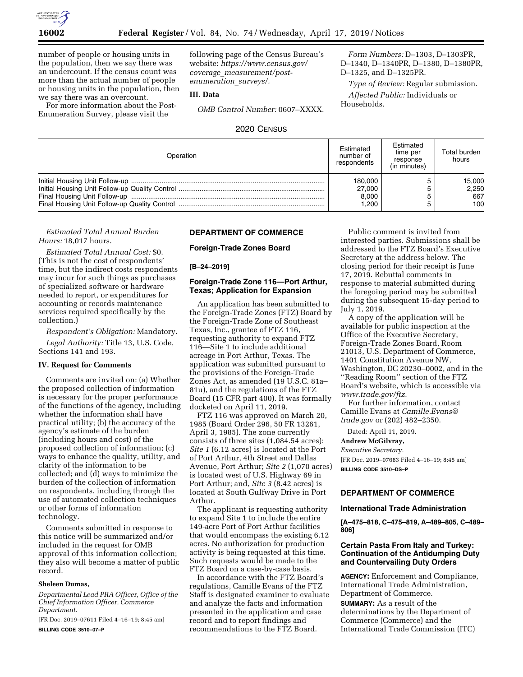

number of people or housing units in the population, then we say there was an undercount. If the census count was more than the actual number of people or housing units in the population, then we say there was an overcount.

For more information about the Post-Enumeration Survey, please visit the

following page of the Census Bureau's website: *[https://www.census.gov/](https://www.census.gov/coverage_measurement/post-enumeration_surveys/) coverage*\_*[measurement/post](https://www.census.gov/coverage_measurement/post-enumeration_surveys/)[enumeration](https://www.census.gov/coverage_measurement/post-enumeration_surveys/)*\_*surveys/.* 

### **III. Data**

*OMB Control Number:* 0607–XXXX.

*Form Numbers:* D–1303, D–1303PR, D–1340, D–1340PR, D–1380, D–1380PR, D–1325, and D–1325PR.

*Type of Review:* Regular submission. *Affected Public:* Individuals or Households.

## 2020 CENSUS

| Operation | Estimated<br>number of<br>respondents | Estimated<br>time per<br>response<br>(in minutes) | Total burden<br>hours |
|-----------|---------------------------------------|---------------------------------------------------|-----------------------|
|           | 180,000                               |                                                   | 15,000                |
|           | 27,000                                |                                                   | 2,250                 |
|           | 8,000                                 |                                                   | 667                   |
|           | 1.200                                 |                                                   | 100                   |

## *Estimated Total Annual Burden Hours:* 18,017 hours.

*Estimated Total Annual Cost:* \$0. (This is not the cost of respondents' time, but the indirect costs respondents may incur for such things as purchases of specialized software or hardware needed to report, or expenditures for accounting or records maintenance services required specifically by the collection.)

*Respondent's Obligation:* Mandatory. *Legal Authority:* Title 13, U.S. Code, Sections 141 and 193.

## **IV. Request for Comments**

Comments are invited on: (a) Whether the proposed collection of information is necessary for the proper performance of the functions of the agency, including whether the information shall have practical utility; (b) the accuracy of the agency's estimate of the burden (including hours and cost) of the proposed collection of information; (c) ways to enhance the quality, utility, and clarity of the information to be collected; and (d) ways to minimize the burden of the collection of information on respondents, including through the use of automated collection techniques or other forms of information technology.

Comments submitted in response to this notice will be summarized and/or included in the request for OMB approval of this information collection; they also will become a matter of public record.

### **Sheleen Dumas,**

*Departmental Lead PRA Officer, Office of the Chief Information Officer, Commerce Department.* 

[FR Doc. 2019–07611 Filed 4–16–19; 8:45 am] **BILLING CODE 3510–07–P** 

### **DEPARTMENT OF COMMERCE**

**Foreign-Trade Zones Board** 

### **[B–24–2019]**

## **Foreign-Trade Zone 116—Port Arthur, Texas; Application for Expansion**

An application has been submitted to the Foreign-Trade Zones (FTZ) Board by the Foreign-Trade Zone of Southeast Texas, Inc., grantee of FTZ 116, requesting authority to expand FTZ 116—Site 1 to include additional acreage in Port Arthur, Texas. The application was submitted pursuant to the provisions of the Foreign-Trade Zones Act, as amended (19 U.S.C. 81a– 81u), and the regulations of the FTZ Board (15 CFR part 400). It was formally docketed on April 11, 2019.

FTZ 116 was approved on March 20, 1985 (Board Order 296, 50 FR 13261, April 3, 1985). The zone currently consists of three sites (1,084.54 acres): *Site 1* (6.12 acres) is located at the Port of Port Arthur, 4th Street and Dallas Avenue, Port Arthur; *Site 2* (1,070 acres) is located west of U.S. Highway 69 in Port Arthur; and, *Site 3* (8.42 acres) is located at South Gulfway Drive in Port Arthur.

The applicant is requesting authority to expand Site 1 to include the entire 149-acre Port of Port Arthur facilities that would encompass the existing 6.12 acres. No authorization for production activity is being requested at this time. Such requests would be made to the FTZ Board on a case-by-case basis.

In accordance with the FTZ Board's regulations, Camille Evans of the FTZ Staff is designated examiner to evaluate and analyze the facts and information presented in the application and case record and to report findings and recommendations to the FTZ Board.

Public comment is invited from interested parties. Submissions shall be addressed to the FTZ Board's Executive Secretary at the address below. The closing period for their receipt is June 17, 2019. Rebuttal comments in response to material submitted during the foregoing period may be submitted during the subsequent 15-day period to July 1, 2019.

A copy of the application will be available for public inspection at the Office of the Executive Secretary, Foreign-Trade Zones Board, Room 21013, U.S. Department of Commerce, 1401 Constitution Avenue NW, Washington, DC 20230–0002, and in the ''Reading Room'' section of the FTZ Board's website, which is accessible via *[www.trade.gov/ftz.](http://www.trade.gov/ftz)* 

For further information, contact Camille Evans at *[Camille.Evans@](mailto:Camille.Evans@trade.gov) [trade.gov](mailto:Camille.Evans@trade.gov)* or (202) 482–2350.

Dated: April 11, 2019.

### **Andrew McGilvray,**

*Executive Secretary.* 

[FR Doc. 2019–07683 Filed 4–16–19; 8:45 am] **BILLING CODE 3510–DS–P** 

## **DEPARTMENT OF COMMERCE**

## **International Trade Administration**

**[A–475–818, C–475–819, A–489–805, C–489– 806]** 

## **Certain Pasta From Italy and Turkey: Continuation of the Antidumping Duty and Countervailing Duty Orders**

**AGENCY:** Enforcement and Compliance, International Trade Administration, Department of Commerce.

**SUMMARY:** As a result of the determinations by the Department of Commerce (Commerce) and the International Trade Commission (ITC)